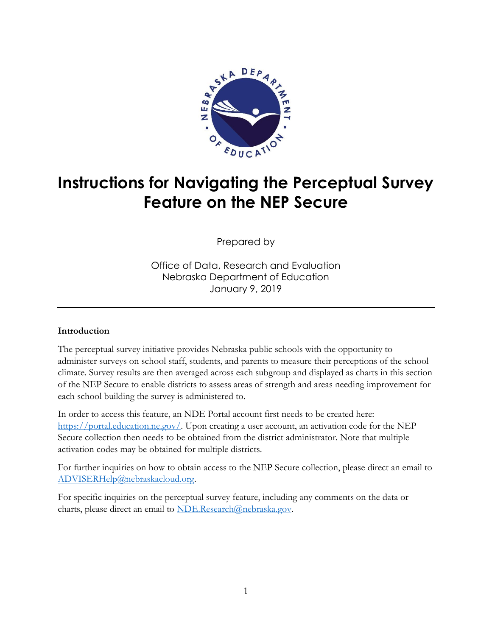

## **Instructions for Navigating the Perceptual Survey Feature on the NEP Secure**

Prepared by

Office of Data, Research and Evaluation Nebraska Department of Education January 9, 2019

## **Introduction**

The perceptual survey initiative provides Nebraska public schools with the opportunity to administer surveys on school staff, students, and parents to measure their perceptions of the school climate. Survey results are then averaged across each subgroup and displayed as charts in this section of the NEP Secure to enable districts to assess areas of strength and areas needing improvement for each school building the survey is administered to.

In order to access this feature, an NDE Portal account first needs to be created here: [https://portal.education.ne.gov/.](https://portal.education.ne.gov/) Upon creating a user account, an activation code for the NEP Secure collection then needs to be obtained from the district administrator. Note that multiple activation codes may be obtained for multiple districts.

For further inquiries on how to obtain access to the NEP Secure collection, please direct an email to [ADVISERHelp@nebraskacloud.org.](mailto:ADVISERHelp@nebraskacloud.org)

For specific inquiries on the perceptual survey feature, including any comments on the data or charts, please direct an email to [NDE.Research@nebraska.gov.](mailto:NDE.Research@nebraska.gov)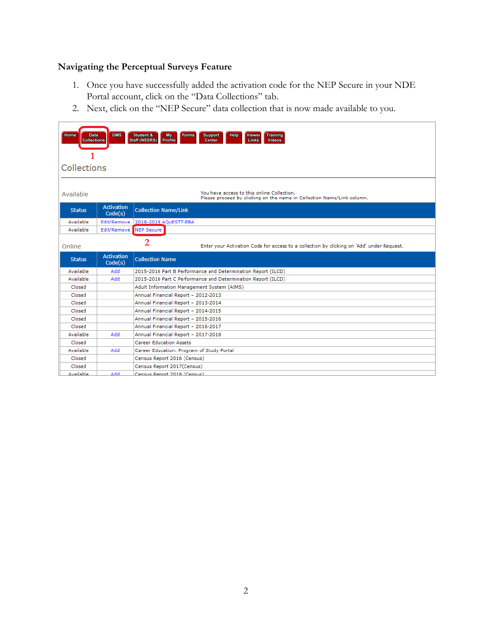## **Navigating the Perceptual Surveys Feature**

- 1. Once you have successfully added the activation code for the NEP Secure in your NDE Portal account, click on the "Data Collections" tab.
- 2. Next, click on the "NEP Secure" data collection that is now made available to you.

| You have access to this online Collection.<br>Available<br>Please proceed by clicking on the name in Collection Name/Link column.<br><b>Activation</b><br><b>Collection Name/Link</b><br><b>Status</b> |
|--------------------------------------------------------------------------------------------------------------------------------------------------------------------------------------------------------|
|                                                                                                                                                                                                        |
| Code(s)                                                                                                                                                                                                |
| Available<br>2018-2019 AQuESTT-EBA<br>Edit/Remove                                                                                                                                                      |
| NEP Secure<br><b>Available</b><br>Edit/Remove                                                                                                                                                          |
| $\overline{2}$<br>Enter your Activation Code for access to a collection by clicking on 'Add' under Reguest.<br>Online                                                                                  |
| <b>Activation</b><br><b>Collection Name</b><br><b>Status</b><br>Code(s)                                                                                                                                |
| Available<br>hhA<br>2015-2016 Part B Performance and Determination Report (ILCD)                                                                                                                       |
| Available<br>Add<br>2015-2016 Part C Performance and Determination Report (ILCD)                                                                                                                       |
| Closed<br>Adult Information Management System (AIMS)                                                                                                                                                   |
| Closed<br>Annual Financial Report - 2012-2013                                                                                                                                                          |
| Annual Financial Report - 2013-2014<br>Closed                                                                                                                                                          |
| Closed<br>Annual Financial Report - 2014-2015                                                                                                                                                          |
| Annual Financial Report - 2015-2016<br>Closed                                                                                                                                                          |
| Closed<br>Annual Financial Report - 2016-2017                                                                                                                                                          |
| Available<br>Add<br>Annual Financial Report - 2017-2018                                                                                                                                                |
| <b>Career Education Assets</b><br>Closed                                                                                                                                                               |
| Available<br>Add<br>Career Education: Program of Study Portal                                                                                                                                          |
| Closed<br>Census Report 2016 (Census)                                                                                                                                                                  |
| Closed<br>Census Report 2017(Census)<br><b>Available</b><br>hhA<br>Census Report 2018 (Census)                                                                                                         |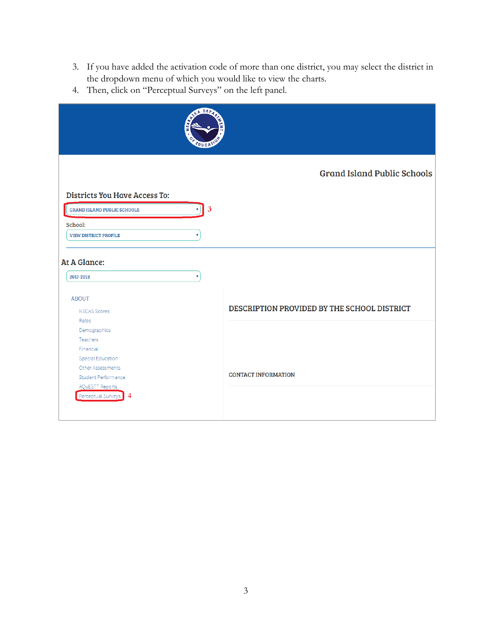- 3. If you have added the activation code of more than one district, you may select the district in the dropdown menu of which you would like to view the charts.
- 4. Then, click on "Perceptual Surveys" on the left panel.

|                                               | STA DEPA<br>æ<br><b>FDUCP</b> |                                             |
|-----------------------------------------------|-------------------------------|---------------------------------------------|
|                                               |                               | <b>Grand Island Public Schools</b>          |
| <b>Districts You Have Access To:</b>          |                               |                                             |
| <b>GRAND ISLAND PUBLIC SCHOOLS</b>            | 3                             |                                             |
|                                               |                               |                                             |
| School:                                       |                               |                                             |
| <b>VIEW DISTRICT PROFILE</b>                  |                               |                                             |
| At A Glance:<br>2017-2018                     | ۷                             |                                             |
| <b>ABOUT</b>                                  |                               |                                             |
| <b>NSCAS Scores</b>                           |                               | DESCRIPTION PROVIDED BY THE SCHOOL DISTRICT |
| Rates                                         |                               |                                             |
| Demographics                                  |                               |                                             |
| Teachers                                      |                               |                                             |
| Financial                                     |                               |                                             |
| <b>Special Education</b><br>Other Assessments |                               |                                             |
| <b>Student Performance</b>                    |                               | <b>CONTACT INFORMATION</b>                  |
| <b>AQuESTT Reports</b>                        |                               |                                             |
| Perceptual Surveys<br>4                       |                               |                                             |
|                                               |                               |                                             |
|                                               |                               |                                             |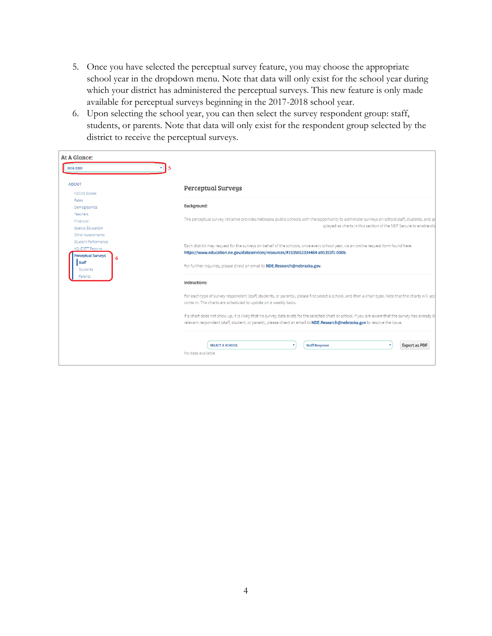- 5. Once you have selected the perceptual survey feature, you may choose the appropriate school year in the dropdown menu. Note that data will only exist for the school year during which your district has administered the perceptual surveys. This new feature is only made available for perceptual surveys beginning in the 2017-2018 school year.
- 6. Upon selecting the school year, you can then select the survey respondent group: staff, students, or parents. Note that data will only exist for the respondent group selected by the district to receive the perceptual surveys.

| At A Glance:                                                                                                |                                                                                                                                                                                                                                                                                                        |
|-------------------------------------------------------------------------------------------------------------|--------------------------------------------------------------------------------------------------------------------------------------------------------------------------------------------------------------------------------------------------------------------------------------------------------|
| 2018-2019                                                                                                   |                                                                                                                                                                                                                                                                                                        |
|                                                                                                             |                                                                                                                                                                                                                                                                                                        |
| <b>ABOUT</b>                                                                                                | <b>Perceptual Surveys</b>                                                                                                                                                                                                                                                                              |
| <b>NSCAS Scores</b>                                                                                         |                                                                                                                                                                                                                                                                                                        |
| Rates                                                                                                       |                                                                                                                                                                                                                                                                                                        |
| Demographics                                                                                                | Background:                                                                                                                                                                                                                                                                                            |
| <b>Teachers</b>                                                                                             | The perceptual survey initiative provides Nebraska public schools with the opportunity to administer surveys on school staff, students, and pa                                                                                                                                                         |
| Financial<br>Special Education                                                                              | splayed as charts in this section of the NEP Secure to enable dis                                                                                                                                                                                                                                      |
| Other Assessments                                                                                           |                                                                                                                                                                                                                                                                                                        |
| Student Performance<br><b>AOUESTT Reports</b><br><b>Perceptual Surveys</b><br>6<br><b>Staff</b><br>Students | Each district may request for the surveys on behalf of the schools, once every school year, via an online request form found here:<br>https://www.education.ne.gov/dataservices/resources/#1535652334484-a91353f1-008b.<br>For further inquiries, please direct an email to NDE.Research@nebraska.gov. |
| Parents                                                                                                     | Instructions:                                                                                                                                                                                                                                                                                          |
|                                                                                                             | For each type of survey respondent (staff, students, or parents), please first select a school, and then a chart type. Note that the charts will upc<br>come in. The charts are scheduled to update on a weekly basis.                                                                                 |
|                                                                                                             | If a chart does not show up, it is likely that no survey data exists for the selected chart or school. If you are aware that the survey has already b<br>relevant respondent (staff, student, or parent), please direct an email to NDE.Research@nebraska.gov to resolve the issue.                    |
|                                                                                                             | <b>Export as PDF</b><br><b>SELECT A SCHOOL</b><br><b>Staff Response</b><br>No data available                                                                                                                                                                                                           |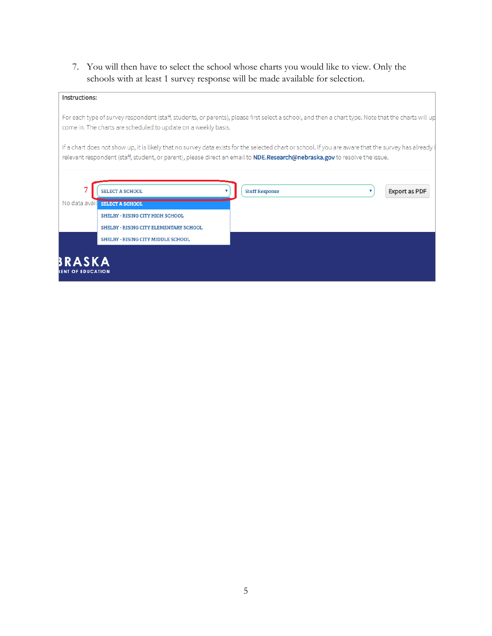7. You will then have to select the school whose charts you would like to view. Only the schools with at least 1 survey response will be made available for selection.

| <b>Instructions:</b>               |                                                                                                                                                                                                                                                                                          |                       |                      |
|------------------------------------|------------------------------------------------------------------------------------------------------------------------------------------------------------------------------------------------------------------------------------------------------------------------------------------|-----------------------|----------------------|
|                                    | For each type of survey respondent (staff, students, or parents), please first select a school, and then a chart type. Note that the charts will up<br>come in. The charts are scheduled to update on a weekly basis.                                                                    |                       |                      |
|                                    | If a chart does not show up, it is likely that no survey data exists for the selected chart or school. If you are aware that the survey has already<br>relevant respondent (staff, student, or parent), please direct an email to <b>NDE.Research@nebraska.gov</b> to resolve the issue. |                       |                      |
|                                    |                                                                                                                                                                                                                                                                                          |                       |                      |
| <b>SELECT A SCHOOL</b>             |                                                                                                                                                                                                                                                                                          | <b>Staff Response</b> | <b>Export as PDF</b> |
| No data avail SELECT A SCHOOL      |                                                                                                                                                                                                                                                                                          |                       |                      |
|                                    | <b>SHELBY - RISING CITY HIGH SCHOOL</b>                                                                                                                                                                                                                                                  |                       |                      |
|                                    | SHELBY - RISING CITY ELEMENTARY SCHOOL                                                                                                                                                                                                                                                   |                       |                      |
|                                    | <b>SHELBY - RISING CITY MIDDLE SCHOOL</b>                                                                                                                                                                                                                                                |                       |                      |
| BRASKA<br><b>IENT OF EDUCATION</b> |                                                                                                                                                                                                                                                                                          |                       |                      |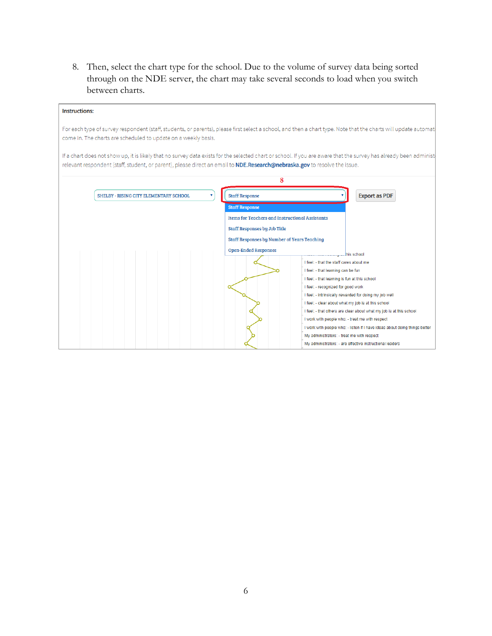8. Then, select the chart type for the school. Due to the volume of survey data being sorted through on the NDE server, the chart may take several seconds to load when you switch between charts.

| <b>Instructions:</b>                                                                                                                                                                         |                                                                                                                                            |                                                                                                                                                                                                                                                                                                                                                                                                                                                                                                                                                                                                                      |
|----------------------------------------------------------------------------------------------------------------------------------------------------------------------------------------------|--------------------------------------------------------------------------------------------------------------------------------------------|----------------------------------------------------------------------------------------------------------------------------------------------------------------------------------------------------------------------------------------------------------------------------------------------------------------------------------------------------------------------------------------------------------------------------------------------------------------------------------------------------------------------------------------------------------------------------------------------------------------------|
| come in. The charts are scheduled to update on a weekly basis.<br>relevant respondent (staff, student, or parent), please direct an email to NDE.Research@nebraska.gov to resolve the issue. |                                                                                                                                            | For each type of survey respondent (staff, students, or parents), please first select a school, and then a chart type. Note that the charts will update automat<br>If a chart does not show up, it is likely that no survey data exists for the selected chart or school. If you are aware that the survey has already been administ                                                                                                                                                                                                                                                                                 |
|                                                                                                                                                                                              |                                                                                                                                            | 8                                                                                                                                                                                                                                                                                                                                                                                                                                                                                                                                                                                                                    |
| SHELBY - RISING CITY ELEMENTARY SCHOOL                                                                                                                                                       | <b>Staff Response</b><br>۷                                                                                                                 | <b>Export as PDF</b>                                                                                                                                                                                                                                                                                                                                                                                                                                                                                                                                                                                                 |
|                                                                                                                                                                                              | <b>Staff Response</b><br><b>Staff Responses by Job Title</b><br>Staff Responses by Number of Years Teaching<br><b>Open-Ended Responses</b> | <b>Items for Teachers and Instructional Assistants</b><br>this school<br>I feel: - that the staff cares about me<br>I feel: - that learning can be fun<br>I feel: - that learning is fun at this school<br>I feel: - recognized for good work<br>I feel: - intrinsically rewarded for doing my job well<br>I feel: - clear about what my job is at this school<br>I feel: - that others are clear about what my job is at this school<br>I work with people who: - treat me with respect<br>I work with people who: - listen if I have ideas about doing things better<br>My administrators: - treat me with respect |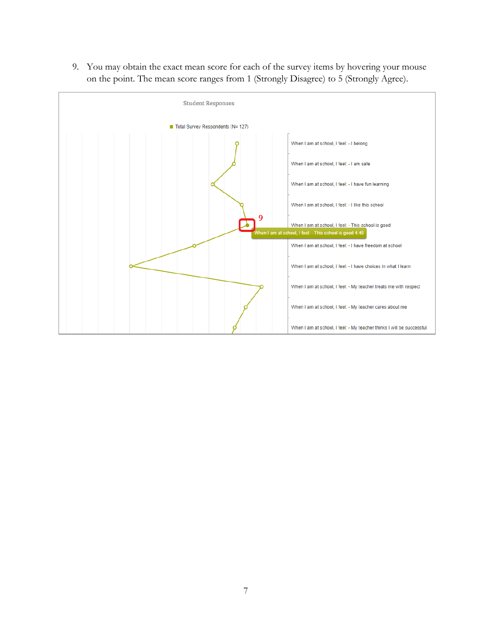9. You may obtain the exact mean score for each of the survey items by hovering your mouse on the point. The mean score ranges from 1 (Strongly Disagree) to 5 (Strongly Agree).

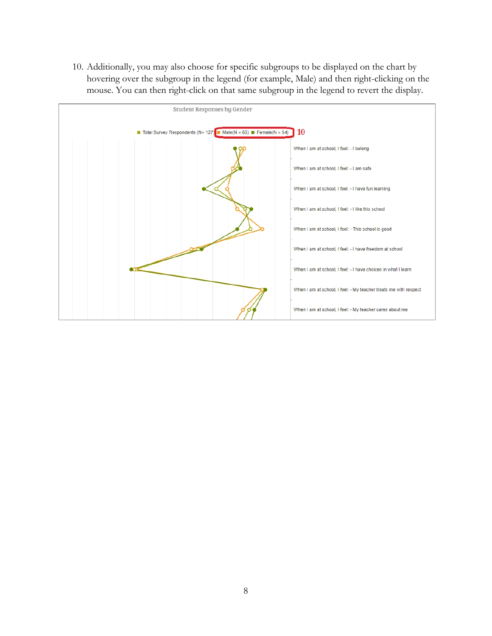10. Additionally, you may also choose for specific subgroups to be displayed on the chart by hovering over the subgroup in the legend (for example, Male) and then right-clicking on the mouse. You can then right-click on that same subgroup in the legend to revert the display.

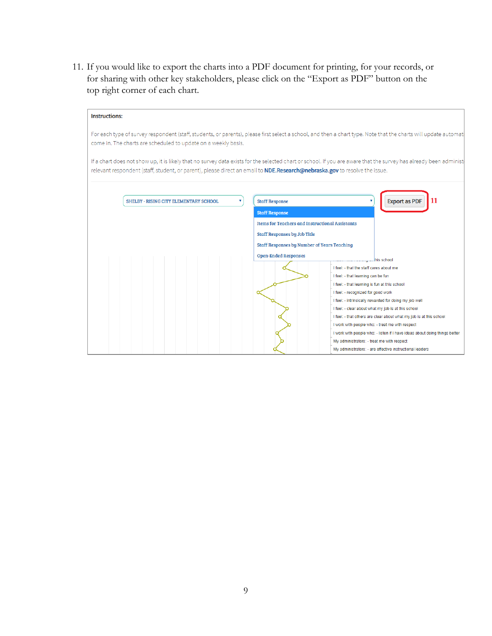11. If you would like to export the charts into a PDF document for printing, for your records, or for sharing with other key stakeholders, please click on the "Export as PDF" button on the top right corner of each chart.

| <b>Instructions:</b>                                                                                                                                                                                                                                                                                   |                                                                                 |                                                                                                        |
|--------------------------------------------------------------------------------------------------------------------------------------------------------------------------------------------------------------------------------------------------------------------------------------------------------|---------------------------------------------------------------------------------|--------------------------------------------------------------------------------------------------------|
| For each type of survey respondent (staff, students, or parents), please first select a school, and then a chart type. Note that the charts will update automat<br>come in. The charts are scheduled to update on a weekly basis.                                                                      |                                                                                 |                                                                                                        |
| If a chart does not show up, it is likely that no survey data exists for the selected chart or school. If you are aware that the survey has already been administ<br>relevant respondent (staff, student, or parent), please direct an email to <b>NDE.Research@nebraska.gov</b> to resolve the issue. |                                                                                 |                                                                                                        |
| SHELBY - RISING CITY ELEMENTARY SCHOOL<br>۷                                                                                                                                                                                                                                                            | <b>Staff Response</b>                                                           | 11<br><b>Export as PDF</b>                                                                             |
|                                                                                                                                                                                                                                                                                                        | <b>Staff Response</b><br><b>Items for Teachers and Instructional Assistants</b> |                                                                                                        |
|                                                                                                                                                                                                                                                                                                        | Staff Responses by Job Title                                                    |                                                                                                        |
|                                                                                                                                                                                                                                                                                                        | Staff Responses by Number of Years Teaching                                     |                                                                                                        |
|                                                                                                                                                                                                                                                                                                        | <b>Open-Ended Responses</b>                                                     |                                                                                                        |
|                                                                                                                                                                                                                                                                                                        |                                                                                 | this school                                                                                            |
|                                                                                                                                                                                                                                                                                                        |                                                                                 | I feel: - that the staff cares about me                                                                |
|                                                                                                                                                                                                                                                                                                        |                                                                                 | I feel: - that learning can be fun<br>I feel: - that learning is fun at this school                    |
|                                                                                                                                                                                                                                                                                                        |                                                                                 | I feel: - recognized for good work                                                                     |
|                                                                                                                                                                                                                                                                                                        |                                                                                 | I feel: - intrinsically rewarded for doing my job well                                                 |
|                                                                                                                                                                                                                                                                                                        |                                                                                 | I feel: - clear about what my job is at this school                                                    |
|                                                                                                                                                                                                                                                                                                        |                                                                                 | I feel: - that others are clear about what my job is at this school                                    |
|                                                                                                                                                                                                                                                                                                        |                                                                                 | I work with people who: - treat me with respect                                                        |
|                                                                                                                                                                                                                                                                                                        |                                                                                 | I work with people who: - listen if I have ideas about doing things better                             |
|                                                                                                                                                                                                                                                                                                        |                                                                                 | My administrators: - treat me with respect<br>My administrators: - are effective instructional leaders |
|                                                                                                                                                                                                                                                                                                        |                                                                                 |                                                                                                        |